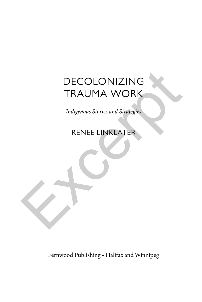# DECOLONIZING TRAUMA WORK DECOLONIZING<br>TRAUMA WORK<br>Indigenous Stories and Strategies<br>RENEE LINKLATER

*Indigenous Stories and Strategies*

RENEE LINKLATER

Fernwood Publishing • Halifax and Winnipeg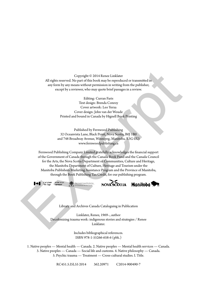Copyright © 2014 Renee Linklater All rights reserved. No part of this book may be reproduced or transmitted in any form by any means without permission in writing from the publisher, except by a reviewer, who may quote brief passages in a review.

> Editing: Curran Faris Text design: Brenda Conroy Cover artwork: Leo Yerxa Cover design: John van der Woude Printed and bound in Canada by Hignell Book Printing

Published by Fernwood Publishing 32 Oceanvista Lane, Black Point, Nova Scotia, B0J 1B0 and 748 Broadway Avenue, Winnipeg, Manitoba, R3G 0X3 www.fernwoodpublishing.ca

Fernwood Publishing Company Limited gratefully acknowledges the financial support of the Government of Canada through the Canada Book Fund and the Canada Council for the Arts, the Nova Scotia Department of Communities, Culture and Heritage, the Manitoba Department of Culture, Heritage and Tourism under the Manitoba Publishers Marketing Assistance Program and the Province of Manitoba, through the Book Publishing Tax Credit, for our publishing program. Copyright © 2014 Reme Linklater<br>
All rights reserved. No part of this book may be reproduced or transmitted in<br>
any form by any means without permission in writing from the publisher,<br>
except by a reviewer, who may quote





Library and Archives Canada Cataloguing in Publication

Linklater, Renee, 1969–, author Decolonizing trauma work: indigenous stories and strategies / Renee Linklater.

> Includes bibliographical references. ISBN 978-1-55266-658-6 (pbk.)

1. Native peoples — Mental health — Canada. 2. Native peoples — Mental health services — Canada. 3. Native peoples — Canada — Social life and customs. 4. Native philosophy — Canada. 5. Psychic trauma — Treatment — Cross-cultural studies. I. Title.

RC451.5.I5L55 2014 362.20971 C2014-900490-7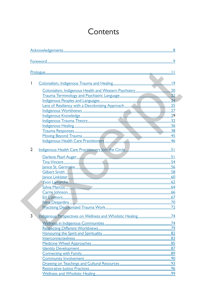## Contents

| I |  |
|---|--|
|   |  |
|   |  |
|   |  |
|   |  |
|   |  |
|   |  |
|   |  |
|   |  |
|   |  |
|   |  |
|   |  |
| 2 |  |
|   |  |
|   |  |
|   |  |
|   |  |
|   |  |
|   |  |
|   |  |
|   |  |
|   |  |
|   |  |
|   |  |
|   |  |
| 3 |  |
|   |  |
|   |  |
|   |  |
|   |  |
|   |  |
|   |  |
|   |  |
|   |  |
|   |  |
|   |  |
|   |  |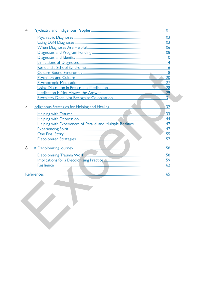| 4 |                                                                  |  |
|---|------------------------------------------------------------------|--|
|   |                                                                  |  |
|   |                                                                  |  |
|   |                                                                  |  |
|   |                                                                  |  |
|   |                                                                  |  |
|   |                                                                  |  |
|   |                                                                  |  |
|   |                                                                  |  |
|   |                                                                  |  |
|   |                                                                  |  |
|   |                                                                  |  |
|   |                                                                  |  |
|   |                                                                  |  |
|   |                                                                  |  |
| 5 |                                                                  |  |
|   |                                                                  |  |
|   |                                                                  |  |
|   | Helping with Experiences of Parallel and Multiple Realities  147 |  |
|   |                                                                  |  |
|   |                                                                  |  |
|   |                                                                  |  |
|   |                                                                  |  |
| 6 |                                                                  |  |
|   |                                                                  |  |
|   |                                                                  |  |
|   |                                                                  |  |
|   |                                                                  |  |
|   |                                                                  |  |
|   |                                                                  |  |
|   |                                                                  |  |
|   |                                                                  |  |
|   |                                                                  |  |
|   |                                                                  |  |
|   |                                                                  |  |
|   |                                                                  |  |
|   |                                                                  |  |
|   |                                                                  |  |
|   |                                                                  |  |
|   |                                                                  |  |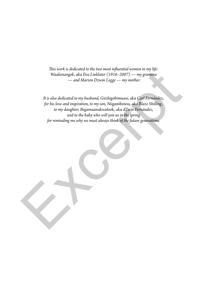*This work is dedicated to the two most influential women in my life: Waakenangok, aka Eva Linklater (1916–2007) — my gramma — and Marion Dzwin Legge — my mother.*

*It is also dedicated to my husband, Giizhigobimaase, aka Carl Fernández, for his love and inspiration, to my son, Niiganibeness, aka Blaze Shilling, to my daughter, Begamaanakwatook, aka dZwin Fernández, and to the baby who will join us in the spring for reminding me why we must always think of the future generations.* Waakenangok, aka Eva Linklater (1916–2007) — my gramma<br>
Waakenangok, aka Eva Linklater (1916–2007) — my gramma<br>
— and Marion Dzwin Legge — my mother.<br>
It is also dedicated to my husband, Güzlingobimaase, aka Carl Fernánde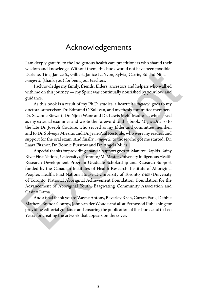### Acknowledgements

I am deeply grateful to the Indigenous health care practitioners who shared their wisdom and knowledge. Without them, this book would not have been possible: Darlene, Tina, Janice S., Gilbert, Janice L., Yvon, Sylvia, Carrie, Ed and Nina *miigwech* (thank you) for being our teachers.

I acknowledge my family, friends, Elders, ancestors and helpers who walked with me on this journey — my Spirit was continually nourished by your love and guidance.

As this book is a result of my Ph.D. studies, a heartfelt *miigwech* goes to my doctoral supervisor, Dr. Edmund O'Sullivan, and my thesis committee members: Dr. Suzanne Stewart, Dr. Njoki Wane and Dr. Lewis Mehl-Madrona, who served as my external examiner and wrote the foreword to this book. *Miigwech* also to the late Dr. Joseph Couture, who served as my Elder and committee member, and to Dr. Solveiga Miezitis and Dr. Jean-Paul Restoule, who were my readers and support for the oral exam. And finally, *miigwech* to those who got me started: Dr. Laara Fitznor, Dr. Bonnie Burstow and Dr. Angela Miles. whsiom and Mowelege. Whot the Thy most book would that the coeff possible:<br>
Tarlen-, Tina, Janice S., Gilbert, Janice L., Yvon, Sylvia, Carrie, Ed and Nina —<br>
Irakowledge my family, friends, Elders, ancestors and helpers w

A special thanks for providing financial support goes to: Manitou Rapids-Rainy River First Nations, University of Toronto/McMaster University Indigenous Health Research Development Program Graduate Scholarship and Research Support funded by the Canadian Institutes of Health Research–Institute of Aboriginal People's Health, First Nations House at University of Toronto, oise/University of Toronto, National Aboriginal Achievement Foundation, Foundation for the Advancement of Aboriginal Youth, Baagwating Community Association and Casino Rama.

And a final thank you to Wayne Antony, Beverley Rach, Curran Faris, Debbie Mathers, Brenda Conroy, John van der Woude and all at Fernwood Publishing for providing editorial guidance and ensuring the publication of this book, and to Leo Yerxa for creating the artwork that appears on the cover.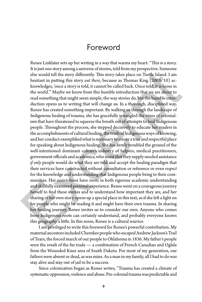#### Foreword

Renee Linklater sets up her writing in a way that warms my heart: "This is a story. It is just one story among a universe of stories, told from my perspective. Someone else would tell the story differently. This story takes place on Turtle Island. I am hesitant in putting this story *out there*, because as Thomas King (2003: 10) acknowledges, 'once a story is told, it cannot be called back. Once told, it is loose in the world.'" Maybe we know from this humble introduction that we are about to read something that might seem simple, the way stories do, but the humble introduction opens us to writing that will change us. In a thorough, disciplined way, Renee has created something important. By walking us through the landscape of Indigenous healing of trauma, she has gracefully untangled the vines of colonialism that have threatened to squeeze the breath out of attempts to heal Indigenous people. Throughout the process, she stepped decisively to educate her readers in the accomplishments of cultural healing, the truth of Indigenous ways of knowing, and her conduct exemplified what is necessary to create a true and respectful place for speaking about Indigenous healing. She has firmly troubled the ground of the well-intentioned dominant culture's industry of helpers, medical practitioners, government officials and academics, who insist that they supply needed assistance *if only* people would do what they are told and accept the healing paradigm that their services have constructed without consultation or reference or even *respect* for the knowledge and understanding that Indigenous people bring to their communities. Her convictions have roots in both rigorous academic understanding and skillfully examined personal experience. Renee went on a courageous journey herself to find these stories and to understand how important they are, and her sharing of her own story opens up a special place in this text, as if she left a light on for people who might be reading it and might have their own trauma. In sharing her healing journey, Renee invites us to consider our own. Anyone who comes from Indigenous roots can certainly understand, and probably everyone knows this geography a little. In this sense, Renee is a cultural warrior. Its just one story among anniverse of sotres, tout mom presence to see would tell the story differently. This story takes place on Turtle Island. I am<br>hestiant in putting this story out there, because as Thomas King (2003

I am privileged to write this foreword for Renee's powerful contribution. My maternal ancestors included Cherokee people who escaped Andrew Jackson's Trail of Tears, the forced march of our people to Oklahoma in 1836. My father's people were the result of the fur trade — a combination of French Canadian and Oglala from the Wounded Knee area of South Dakota. For most of my generation, our fathers were absent or dead, as was mine. As a man in my family, all I had to do was stay alive and stay out of jail to be a success.

Since colonization began as Renee writes, "Trauma has created a climate of systematic oppression, violence and abuse. Pre-colonial trauma was predictable and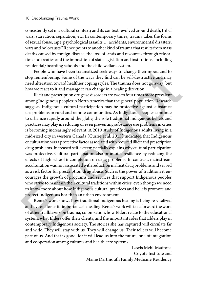consistently set in a cultural context; and its context revolved around death, tribal wars, starvation, separation, etc. In contemporary times, trauma takes the forms of sexual abuse, rape, psychological assaults … accidents, environmental disasters, wars and holocausts." Renee points to another kind of trauma that results from mass deaths caused by foreign disease, the loss of lands and resources through relocation and treaties and the imposition of state legislation and institutions, including residential/boarding schools and the child welfare system.

People who have been traumatized seek ways to change their mood and to stop remembering. Some of the ways they find can be self-destructive and may need alteration toward healthier coping styles. The trauma does not go away; but how we react to it and manage it can change in a healing direction.

Illicit and prescription drug use disorders are two to four times more prevalent among Indigenous peoples in North America than the general population. Research suggests Indigenous cultural participation may be protective against substance use problems in rural and remote communities. As Indigenous peoples continue to urbanize rapidly around the globe, the role traditional Indigenous beliefs and practices may play in reducing or even preventing substance use problems in cities is becoming increasingly relevant. A 2010 study of Indigenous adults living in a mid-sized city in western Canada (Currie et al. 2013) indicated that Indigenous enculturation was a protective factor associated with reduced illicit and prescription drug problems. Increased self-esteem partially explains why cultural participation was protective. Cultural participation also promotes resilience by reducing the effects of high school incompletion on drug problems. In contrast, mainstream acculturation was not associated with reduction in illicit drug problems and served as a risk factor for prescription drug abuse. Such is the power of tradition; it encourages the growth of programs and services that support Indigenous peoples who strive to maintain their cultural traditions within cities, even though we need to know more about how Indigenous cultural practices and beliefs promote and protect Indigenous health in an urban environment. People who have been traumatized seek ways to change their mood and to<br>stop emembering. Some of the ways they find can be self-destructives and may<br>pred alteration toward healthier coping styles. The trauma does not go aw

Renee's work shows how traditional Indigenous healing is being re-vitalized and lays out for us its importance in healing. Renee's work will take forward the work of other trailblazers on trauma, colonization, how Elders relate to the educational system, what Elders offer their clients, and the important roles that Elders play in contemporary Indigenous society. The stories she has captured will circulate far and wide. They will stay with us. They will change us. Their tellers will become part of us. And that is good, for it will lead us into the future, one of integration and cooperation among cultures and health care systems.

> — Lewis Mehl-Madrona Coyote Institute and Maine Dartmouth Family Medicine Residency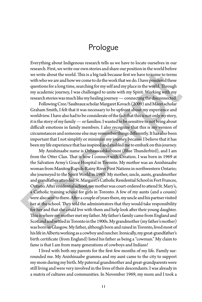## Prologue

Everything about Indigenous research tells us we have to locate ourselves in our research. First, we write our own stories and share our position in the world before we write about the world. This is a big task because first we have to come to terms with who we are and how we come to do the work that we do. I have pondered these questions for a long time, searching for my self and my place in the world. Through my academic journey, I was challenged to unite with my Spirit. Working with my research stories was much like my healing journey — connecting the disconnected.

Following Cree/Saulteaux scholar Margaret Kovach (2009) and Māori scholar Graham Smith, I felt that it was necessary to be upfront about my experience and worldview. I have also had to be considerate of the fact that this is not only *my* story, it is the story of my family — or families. I wanted to be sensitive to not bring about difficult emotions in family members. I also recognize that this is my version of circumstances and someone else may remember things differently. It has also been important that I not simplify or minimize my journey because I believe that it has been my life experience that has inspired and enabled me to embark on this journey.

My Anishinaabe name is Ozhaawashkobinesi (Blue Thunderbird), and I am from the Otter Clan. That is how I connect with Creation. I was born in 1969 at the Salvation Army's Grace Hospital in Toronto. My mother was an Anishinaabe woman from Manitou Rapids-Rainy River First Nations in northwestern Ontario; she journeyed to the Spirit World in 1985. My mother, uncle, aunts, grandmother and grandfather attended St. Margaret's Catholic Residential School in Fort Frances, Ontario. After residential school, my mother was court-ordered to attend St. Mary's, a Catholic training school for girls in Toronto. A few of my aunts (and a cousin) were also sent to there. After a couple of years there, my uncle and his partner visited her at the school. They told the administrators that they would take responsibility for her and that she could live with them and help look after their young daughter. This is where my mother met my father. My father's family came from England and Scotland and settled in Toronto in the 1900s. My grandmother (my father's mother) was born in Glasgow. My father, although born and raised in Toronto, lived most of his life in Alberta working as a cowboy and rancher. Ironically, my great-grandfather's birth certificate (from England) listed his father as being a "cowman." My claim to fame is that I am from many generations of cowboys and Indians! research. First, we write our own stones and same of up fostion in the word being<br>the we write about the world. This is a big task because first we have to come to terms<br>with who we are and how we come to do the work that

I lived with both my parents for the first few months of my life. Family surrounded me. My Anishinaabe gramma and my aunt came to the city to support my mom during my birth. My paternal grandmother and great-grandparents were still living and were very involved in the lives of their descendants. I was already in a matrix of cultures and communities. In November 1969, my mom and I took a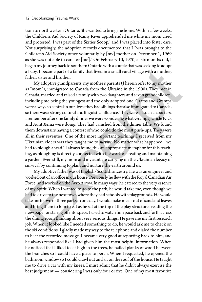train to northwestern Ontario. She wanted to bring me home. Within a few weeks, the Children's Aid Society of Rainy River apprehended me while my mom cried and protested. I was part of the Sixties  $\mathsf{Scoop},^{\scriptscriptstyle{1}}$  and I was placed into foster care. Not surprisingly, the adoption records documented that I "was brought to the Children's Aid Society office voluntarily by [my] mother on December 1, 1969 as she was not able to care for [me]." On February 10, 1970, at six months old, I began my journey back to southern Ontario with a couple that was seeking to adopt a baby. I became part of a family that lived in a small rural village with a mother, father, sister and brother.

My adoptive grandparents, my mother's parents (I herein refer to my mother as "mom"), immigrated to Canada from the Ukraine in the 1900s. They met in Canada, married and raised a family with two daughters and seven grandchildren, including me being the youngest and the only adopted one. Grams and Grampa were always so central in our lives; they had siblings that also immigrated to Canada, so there was a strong cultural and linguistic influence. They were all such characters. I remember after one family dinner we were wondering what Grampa, Uncle Nick and Aunt Xenia were doing. They had vanished from the dinner table. We found them downstairs having a contest of who could do the most push-ups. They were all in their seventies. One of the most important teachings I received from my Ukrainian elders was they taught me to *survive*. No matter what happened, "we had to plough ahead." I always found this an appropriate metaphor for this teaching, as ploughing is directly connected with the work of creating and maintaining a garden. Even still, my mom and my aunt are carrying on the Ukrainian legacy of survival by continuing to plant and nurture the earth around us. a baby. I became part of a family that lived in a small rural village with a mother, father, sitter and brother. My andpoints, my mother's parents (I herein refer to my mother My stap of the My andpoints, my mother's pare

My adoptive father was of English/Scottish ancestry. He was an engineer and worked out of an office in our house. Previously he flew with the Royal Canadian Air Force, and worked on the Avro Arrow. In many ways, he catered to the very essence of my Spirit. When I wanted to go to the park, he would take me, even though we had to drive to the next town where they had schools with playgrounds. He would take me to two or three parks in one day. I would make meals out of sand and leaves and bring them to him to eat as he sat at the top of the play structures reading the newspaper or staring off into space. I used to watch him pace back and forth across the dining room thinking about very serious things. He gave me my first research job. When it looked like I needed something to do, he would ask me to check on the ski conditions. I gladly made my way to the telephone and dialed the number to hear the recorded message. I became very good at reporting back to him, and he always responded like I had given him the most helpful information. When he noticed that I liked to sit high in the trees, he nailed planks of wood between the branches so I could have a place to perch. When I requested, he opened the bathroom window so I could crawl out and sit on the roof of the house. He taught me to drive a car with my knees. I must admit that he didn't always exercise the best judgement — considering I was only four or five. One of my most favourite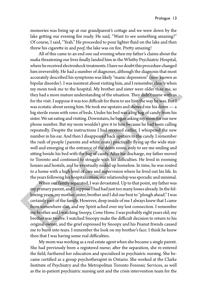memories was being up at our grandparent's cottage and we were down by the lake getting our evening fire ready. He said, "Want to see something amazing?" Of course, I said, "Yeah." He proceeded to pour lighter fluid on the lake and then threw his cigarette in and *poof*, the lake was on fire. Pretty amazing!

All of this came to an end one sad evening when my father's claims about the mafia threatening our lives finally landed him in the Whitby Psychiatric Hospital, where he received electroshock treatments. I have no doubt this procedure changed him irreversibly. He had a number of diagnoses, although the diagnosis that most accurately described his symptoms was likely "manic depression" (now known as bipolar disorder). I was insistent about visiting him, and I remember clearly when my mom took me to the hospital. My brother and sister were older than me, so they had a more mature understanding of the situation. They didn't come with us for the visit. I suppose it was too difficult for them to see him the way he was. But I was ecstatic about seeing him. He took me upstairs and showed me his dorm — a big sterile room with rows of beds. Under his bed was a big bag of candy from his sister. We sat eating and visiting. Downstairs, he began asking my mom for our new phone number. But my mom wouldn't give it to him because he had been calling repeatedly. Despite the instructions I had received earlier, I whispered the new number in his ear. And then I disappeared back upstairs to the candy. I remember the rush of people (parents and white coats) practically flying up the wide stairwell and emerging at the entrance of the dorm room, only to see me smiling and sitting beside his bed with the bag of candy. After his discharge, my father moved to Toronto and continued to struggle with his difficulties. He lived in rooming houses and hostels, and he eventually ended up homeless. In time, he was routed to a home with a high level of care and supervision where he lived out his life. In the years following his hospitalization, our relationship was sporadic and minimal. him irreversibly. He had a number of diagnoses, although the diagnosis that most<br>accurately described his symptoms was likely "manic depression" (now known as<br>bipolar disorder). I was insistent about visiting him, and I r

When our family separated, I was devastated. Up to that point, my father was my primary parent, and I suppose I had had just too many losses already. In the following years, my mother, sister, brother and I did our best to "plough ahead." I was certainly part of the family. However, deep inside of me I always knew that I came from somewhere else, and my Spirit ached over my lost connection. I remember my brother and I watching *Snoopy, Come Home*. I was probably eight years old; my brother was twelve. I watched Snoopy make the difficult decision to return to his original owner, and the grief expressed by Snoopy and his Peanut friends caused me to burst into tears. I remember the look on my brother's face. I think he knew then that I was having some real difficulties.

My mom was working as a real estate agent when she became a single parent. She had previously been a registered nurse; after the separation, she re-entered the field, furthered her education and specialized in psychiatric nursing. She became certified as a group psychotherapist in Ontario. She worked at the Clarke Institute of Psychiatry and the Metropolitan Toronto Forensic Services, as well as the in-patient psychiatric nursing unit and the crisis intervention team for the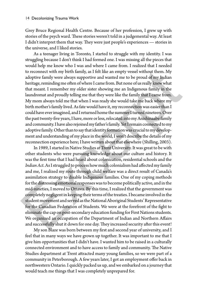Grey Bruce Regional Health Centre. Because of her profession, I grew up with stories of the psych ward. These stories weren't told in a judgemental way. At least I didn't interpret them that way. They were just people's experiences — stories in the universe, and I liked stories.

As a teenager living in Toronto, I started to struggle with my identity. I was struggling because I don't think I had formed one. I was missing all the pieces that would help me know who I was and where I came from. I realized that I needed to reconnect with my birth family, as I felt like an empty vessel without them. My adoptive family were always supportive and wanted me to be proud of my Indian heritage, reminding me often of where I came from. But none of us really knew what that meant. I remember my older sister showing me an Indigenous family in the laundromat and proudly telling me that they were like the family that I came from. My mom always told me that when I was ready she would take me back where my birth mother's family lived. As fate would have it, my reconnection was easier than I could have ever imagined, and I returned home the summer I turned nineteen. Over the past twenty-five years, I have, more or less, relocated into my Anishinaabe family and community. I have also rejoined my father's family. Yet I remain connected to my adoptive family. Other than to say that identity formation was crucial to my development and understanding of my place in the world, I won't describe the details of my reconnection experience here; I have written about that elsewhere (Shilling, 2003).

In 1989, I started in Native Studies at Trent University. It was great to be with other students who were pursuing knowledge about our culture and history. It was the first time that I had heard about colonization, residential schools and the *Indian Act*. As I struggled to process how much colonialism had affected my family and me, I realized my route through child welfare was a direct result of Canada's assimilation strategy to disable Indigenous families. One of my coping methods for the distressing emotional responses was to become politically active, and in the mid-nineties, I moved to Ottawa. By this time, I realized that the government was completely negligent in keeping their terms of the treaties. I became involved in the student movement and served as the National Aboriginal Students' Representative for the Canadian Federation of Students. We were at the forefront of the fight to eliminate the cap on post-secondary education funding for First Nations students. We organized an occupation of the Department of Indian and Northern Affairs and successfully shut it down for one day. They increased security after this event! to reconnect with my birth family, as I felt like an empty vessel without them. My adoptive family were always supportive and wanted me to be proud of my Indian deptic and the state that mean times that mean times that me

My son Blaze was born between my first and second year of university, and I feel that in many ways we have grown up together. It was important to me that I give him opportunities that I didn't have. I wanted him to be raised in a culturally connected environment and to have access to family and community. The Native Studies department at Trent attracted many young families, so we were part of a community in Peterborough. A few years later, I got an employment offer back in northwestern Ontario. I quickly packed us up, and we embarked on a journey that would teach me things that I was completely unprepared for.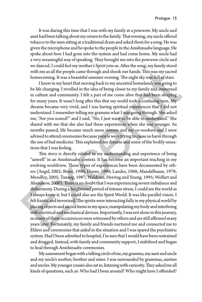It was during this time that I was with my family at a powwow. My uncle and aunt had been talking about my return to the family. That evening, my uncle offered tobacco to the men sitting at a traditional drum and asked them for a song. He was given the microphone and he spoke to the people in the Anishinaabe language. He spoke about how I had gone into the system and had come home. My uncle had a very meaningful way of speaking. They brought me into the powwow circle and we danced. I could feel my mother's Spirit join us. After the song, my family stood with me as all the people came through and shook our hands. This was my sacred homecoming. It was a beautiful summer evening. The night sky was full of stars.

I knew in my heart that moving back to my ancestral homelands was going to be life changing. I revelled in the idea of being closer to my family and immersed in culture and community. I felt a part of me come alive that had been sleeping for many years. It wasn't long after this that my world took a confusing turn. My dreams became very vivid, and I was having spiritual experiences that I did not understand. I remember telling my gramma what I was going through. She asked me, "Are you scared?" and I said, "No, I just want to be able to understand." She shared with me that she also had these experiences when she was younger. As months passed, life became much more intense and my co-workers and I were advised to attend ceremonies because people were trying to cause us harm through the use of bad medicine. This explained my dreams and some of the bodily sensations that I was feeling.

This story is directly related to my understanding and experience of being "unwell" in an Anishinaabe context. It has become an important teaching in my evolving worldview. These types of experiences have been documented by others (Angel, 2002; Brant, 1990; Duran, 1990; Landes, 1968; Mandelbaum, 1979; Moodley, 2005; Taussig, 1987; Waldram, Herring and Young, 1995; Wolfart and Ahenakew, 2000). There is no doubt that I was experiencing severe imbalance and disharmony. During a heightened period of intense stress, I could see the world as I always knew it, but I could also see the Spirit World. It was like parallel vision. I felt frantic and terrorized. The spirits were interacting fully in my physical world by placing objects and sacred items in my space, manipulating my body and interfering with electrical and mechanical devices. Importantly, I was not alone in this journey, so many of these occurrences were witnessed by others and are still affirmed many years later. Fortunately, my family and friends nurtured me and connected me to Elders and ceremonies that aided in the situation and I was spared the psychiatric system. Had I been admitted to hospital, I'm sure that I would have been restrained and drugged. Instead, with family and community support, I stabilized and began to heal through Anishinaabe ceremonies. with me as all the people came through and shook our hands. This was my sacred<br>homecoming, It was a beautiful summer evening. The night sky was fill of stars.<br>
I knew in my heart that moving back to my ancestral homelands

My assessment began with a talking circle of me, my gramma, my aunt and uncle and my uncle's mother, brother and sister. I was surrounded by grammas, aunties and uncles. My younger cousin also sat in, listening with curiosity. They asked me all kinds of questions, such as: Who had I been around? Who might have I offended?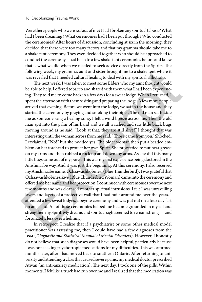Were there people who were jealous of me? Had I broken any spiritual taboos? What had I been dreaming? What ceremonies had I been put through? Who conducted the ceremonies? After hours of discussion, concluding at six in the morning, they decided that there were too many factors and that my gramma should take me to a shake tent ceremony. They even decided together who should be approached to conduct the ceremony. I had been to a few shake tent ceremonies before and knew that is what we did when we needed to seek advice directly from the Spirits. The following week, my gramma, aunt and sister brought me to a shake tent where it was revealed that I needed cultural healing to deal with my spiritual afflictions.

The next week, I was taken to meet some Elders who my aunt thought would be able to help. I offered tobacco and shared with them what I had been experiencing. They told me to come back in a few days for a sweat lodge. When I returned, I spent the afternoon with them visiting and preparing the lodge. A few more people arrived that evening. Before we went into the lodge, we sat in the house and they started the ceremony by praying and smoking their pipes. The old man sat beside me as someone sang a healing song. I felt a wind breeze across me. Then the old man spit into the palm of his hand and we all watched and saw little black bugs moving around as he said, "Look at that, they are still alive!" I thought that was interesting until the woman across from me said, "Those came from you." Shocked, I exclaimed, "No!" but she nodded yes. The older woman then put a beaded emblem on her forehead to protect her own Spirit. She proceeded to put bear grease on my arms and then rubbed a rock up and down my arms. As she did this many little bugs came out of my pores. This was my first experience being doctored in the Anishinaabe way. And it was just the beginning. At this ceremony, I also received my Anishinaabe name, Ozhaawashkobinesi (Blue Thunderbird). I was grateful that Ozhaawashkobinesikwe (Blue Thunderbird Woman) came into the ceremony and offered me her name and her protection. I continued with ceremonies over the next few months and was cleansed of other spiritual intrusions. I felt I was unravelling layers and layers of a protective wall that I had built around me over the years. I attended a few sweat lodges, a peyote ceremony and was put out on a four day fast on an island. All of these ceremonies helped me become grounded in myself and strengthen my Spirit. My dreams and spiritual sight seemed to remain strong — and fortunately, less overwhelming. following week, my gramma, a<br>unt and sister brought me to a shake tent where it was revealed that I needed cultural he<br>sling to deal with my spiritual afficitions. The next week, I was taken to meet some Elders who my aun

In retrospect, I realize that if a psychiatrist or some other medical model practitioner was assessing me, then I could have had a few diagnoses from the DSM (Diagnostic and Statistical Manual of Mental Disorders). However, I honestly do not believe that such diagnoses would have been helpful, particularly because I was not seeking psychotropic medications for my difficulties. This was affirmed months later, after I had moved back to southern Ontario. After returning to university and attending a class that caused severe panic, my medical doctor prescribed Ativan (an anti-anxiety medication). The next day, I took one of the pills. Within moments, I felt like a truck had run over me and I realized that the medication was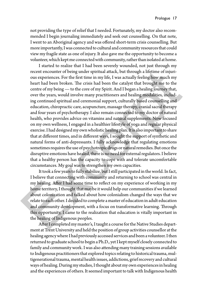not providing the type of relief that I needed. Fortunately, my doctor also recommended I begin journaling immediately and seek out counselling. On that note, I went to an Aboriginal agency and was offered short-term crisis counselling. But more importantly, I was connected to cultural and community resources that could view my fragile state as one of injury. It also gave me the opportunity to become a volunteer, which kept me connected with community, rather than isolated at home.

I started to realize that I had been severely wounded, not just through my recent encounter of being under spiritual attack, but through a lifetime of injurious experiences. For the first time in my life, I was actually feeling how much my heart had been broken. The crisis had been the catalyst that brought me to the centre of my being — to the core of my Spirit. And I began a healing journey that, over the years, would involve many practitioners and healing modalities, including continued spiritual and ceremonial support, culturally based counselling and education, chiropractic care, acupuncture, massage therapy, cranial sacral therapy and four years of psychotherapy. I also remain connected to my doctor of natural health, who provides advice on vitamins and natural supplements. Now focused on my own wellness, I engaged in a healthier lifestyle of yoga and regular physical exercise. I had designed my own wholistic healing plan. It is also important to share that at different times, and in different ways, I sought the support of synthetic and natural forms of anti-depressants. I fully acknowledge that regulating emotions sometimes requires the use of psychotropic drugs or natural remedies. But once the disruptive emotions have healed, there is no need for external regulators. I believe that a healthy person has the capacity to cope with and tolerate uncomfortable circumstances. My goal was to strengthen my own capacities. recent encounter of being under spiritual attack, but through a lifetime of injurious experiences. For the first time in my life, I was actually feeling thow much my the centre of my being — to the core of my Spirit. And

It took a few years to fully stabilize, but I still participated in the world. In fact, I believe that connecting with community and returning to school was central in my healing. After I had some time to reflect on my experience of working in my home territory, I thought that maybe it would help our communities if we learned about colonization and talked about how colonialism changed the ways that we relate to each other. I decided to complete a master of education in adult education and community development, with a focus on transformative learning. Through this opportunity, I came to the realization that education is vitally important in the healing of Indigenous peoples.

After I completed my master's, I taught a course for the Native Studies department at Trent University and held the position of group activities counsellor at the healing agency where I had previously accessed services and been a volunteer. I then returned to graduate school to begin a Ph.D., yet I kept myself closely connected to family and community work. I was also attending many training sessions available to Indigenous practitioners that explored topics relating to historical trauma, multigenerational trauma, mental health issues, addictions, grief recovery and cultural ways of healing. During my studies, I thought about my own experiences in healing and the experiences of others. It seemed important to talk with Indigenous health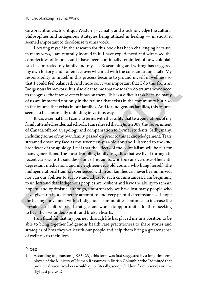care practitioners, to critique Western psychiatry and to acknowledge the cultural philosophies and Indigenous strategies being utilized in healing — in short, it seemed important to decolonize trauma work.

Locating myself in the research for this book has been challenging because, in many ways, I am centrally located in it. I have experienced and witnessed the complexities of trauma, and I have been continually reminded of how colonialism has impacted my family and myself. Researching and writing has triggered my own history, and I often feel overwhelmed with the constant trauma talk. My responsibility to myself in this process became to ground myself in wellness so that I could feel balanced. And more so, it was important that I do this from an Indigenous framework. It is also clear to me that those who do trauma work need to recognize the intense effect it has on them. This is a difficult task because many of us are immersed not only in the trauma that exists in the community but also in the trauma that exists in our families. And for Indigenous families, this trauma seems to be continually unfolding in various ways.

It was essential that I came to terms with the reality that two generations of my family attended residential schools. I am relieved that in June 2008, the Government of Canada offered an apology and compensation to former students. Sadly, many, including some of my own family, passed on prior to this acknowledgement. Tears streamed down my face as my seventeen-year-old son and I listened to the CBC broadcast of the apology. I feel that the effects of the colonialism will be felt for many generations. The most troubling family tragedies that we lived through in recent years were the suicides of one of my aunts, who took an overdose of her antidepressant medication, and my eighteen-year-old cousin, who hung herself. The multigenerational trauma experienced within our families can never be minimized, nor can our abilities to survive and adjust to such circumstances. I am beginning to understand that Indigenous peoples are resilient and have the ability to remain hopeful and optimistic, although, unfortunately we have lost many people who have given up in a desperate attempt to end very painful circumstances. I hope the healing movement within Indigenous communities continues to increase the prevalence of culture-based strategies and wholistic opportunities for those seeking to heal their wounded Spirits and broken hearts. my own history, and I often feel overwhelmed with the constant trauma talk. My<br>responsibility to myself in this process became to ground myself in welhess so<br>that I could feel balanced. And more so, it was important that

I am thankful that my journey through life has placed me in a position to be able to bring together Indigenous health care practitioners to share stories and strategies of how they walk with our people and help them bring a greater sense of wellness to their lives.

#### Note

1. According to Johnston (1983: 23), this term was first suggested by a long-time employee of the Ministry of Human Resources in British Columbia who "admitted that provincial social workers would, quite literally, scoop children from reserves on the slightest pretext.".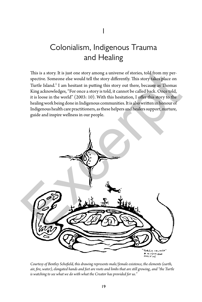# Colonialism, Indigenous Trauma and Healing

This is a story. It is just one story among a universe of stories, told from my perspective. Someone else would tell the story differently. This story takes place on Turtle Island.<sup>1</sup> I am hesitant in putting this story out there, because as Thomas King acknowledges, "For once a story is told, it cannot be called back. Once told, it is loose in the world" (2003: 10). With this hesitation, I offer this story to the healing work being done in Indigenous communities. It is also written in honour of Indigenous health care practitioners, as these helpers and healers support, nurture, guide and inspire wellness in our people.



*Courtesy of Bentley Schofield, this drawing represents male/female existence, the elements (earth, air, fire, water), elongated hands and feet are roots and limbs that are still growing, and "the Turtle is watching to see what we do with what the Creator has provided for us."*